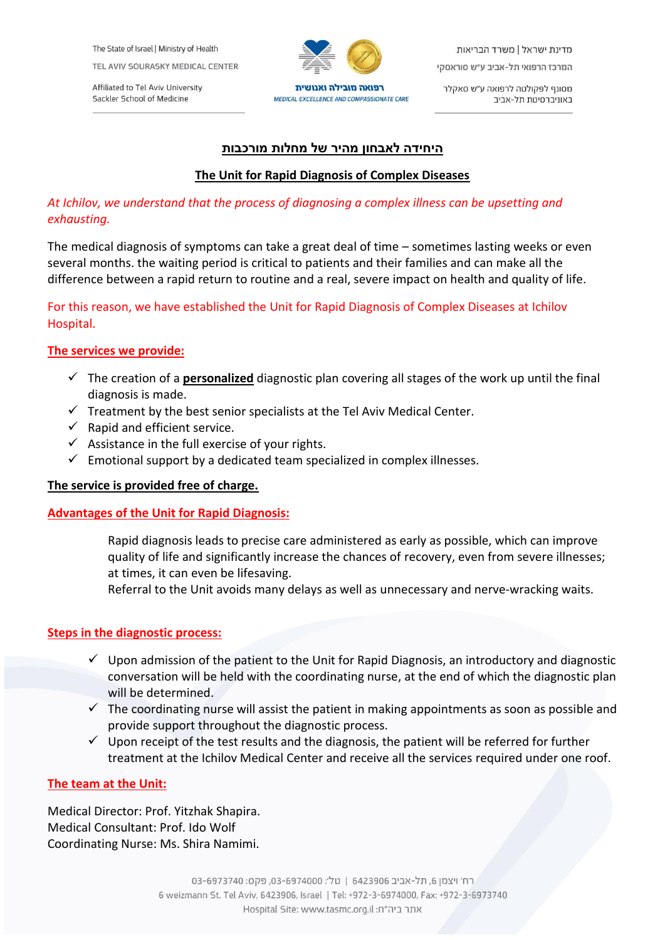The State of Israel | Ministry of Health

TEL AVIV SOURASKY MEDICAL CENTER

Affiliated to Tel Aviv University Sackler School of Medicine



מדינת ישראל | משרד הבריאות המרכז הרפואי תל-אביב ע״ש סוראסקי

מסונף לפקולטה לרפואה ע״ש סאקלר באוניברסיטת תל-אביב

## **היחידה לאבחון מהיר של מחלות מורכבות**

## **The Unit for Rapid Diagnosis of Complex Diseases**

## *At Ichilov, we understand that the process of diagnosing a complex illness can be upsetting and exhausting.*

The medical diagnosis of symptoms can take a great deal of time – sometimes lasting weeks or even several months. the waiting period is critical to patients and their families and can make all the difference between a rapid return to routine and a real, severe impact on health and quality of life.

# For this reason, we have established the Unit for Rapid Diagnosis of Complex Diseases at Ichilov Hospital.

# **The services we provide:**

- The creation of a **personalized** diagnostic plan covering all stages of the work up until the final diagnosis is made.
- $\checkmark$  Treatment by the best senior specialists at the Tel Aviv Medical Center.
- $\checkmark$  Rapid and efficient service.
- $\checkmark$  Assistance in the full exercise of your rights.
- $\checkmark$  Emotional support by a dedicated team specialized in complex illnesses.

### **The service is provided free of charge.**

### **Advantages of the Unit for Rapid Diagnosis:**

Rapid diagnosis leads to precise care administered as early as possible, which can improve quality of life and significantly increase the chances of recovery, even from severe illnesses; at times, it can even be lifesaving.

Referral to the Unit avoids many delays as well as unnecessary and nerve-wracking waits.

### **Steps in the diagnostic process:**

- $\checkmark$  Upon admission of the patient to the Unit for Rapid Diagnosis, an introductory and diagnostic conversation will be held with the coordinating nurse, at the end of which the diagnostic plan will be determined.
- $\checkmark$  The coordinating nurse will assist the patient in making appointments as soon as possible and provide support throughout the diagnostic process.
- $\checkmark$  Upon receipt of the test results and the diagnosis, the patient will be referred for further treatment at the Ichilov Medical Center and receive all the services required under one roof.

### **The team at the Unit:**

Medical Director: Prof. Yitzhak Shapira. Medical Consultant: Prof. Ido Wolf Coordinating Nurse: Ms. Shira Namimi.